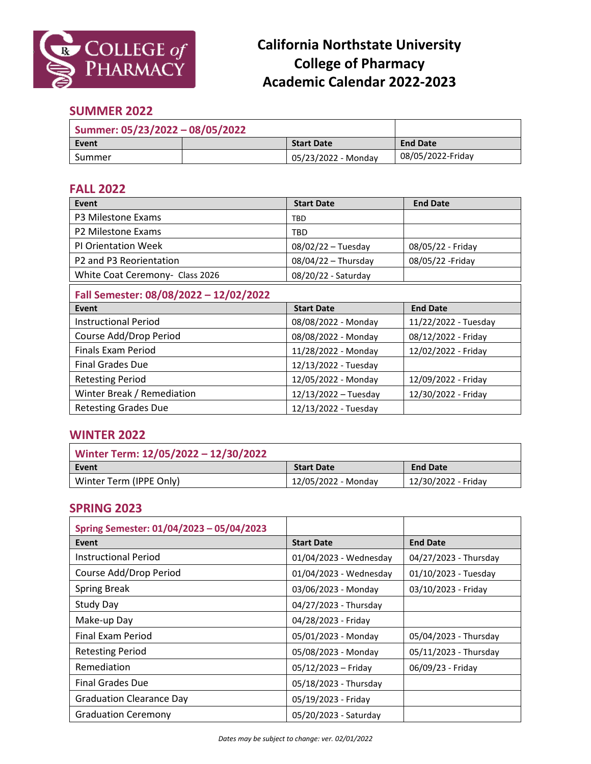

# **California Northstate University College of Pharmacy Academic Calendar 2022-2023**

### **SUMMER 2022**

| Summer: 05/23/2022 - 08/05/2022 |  |                     |                   |
|---------------------------------|--|---------------------|-------------------|
| Event                           |  | <b>Start Date</b>   | <b>End Date</b>   |
| Summer                          |  | 05/23/2022 - Monday | 08/05/2022-Friday |

### **FALL 2022**

| Event                                           | <b>Start Date</b>     | <b>End Date</b>      |  |
|-------------------------------------------------|-----------------------|----------------------|--|
| P3 Milestone Exams                              | TBD                   |                      |  |
| P <sub>2</sub> Milestone Exams                  | TBD                   |                      |  |
| <b>PI Orientation Week</b>                      | $08/02/22 - Tuesday$  | 08/05/22 - Friday    |  |
| P <sub>2</sub> and P <sub>3</sub> Reorientation | $08/04/22$ - Thursday | 08/05/22 - Friday    |  |
| White Coat Ceremony- Class 2026                 | 08/20/22 - Saturday   |                      |  |
| Fall Semester: 08/08/2022 - 12/02/2022          |                       |                      |  |
| Event                                           | <b>Start Date</b>     | <b>End Date</b>      |  |
| <b>Instructional Period</b>                     | 08/08/2022 - Monday   | 11/22/2022 - Tuesday |  |
| Course Add/Drop Period                          | 08/08/2022 - Monday   | 08/12/2022 - Friday  |  |
| <b>Finals Exam Period</b>                       | 11/28/2022 - Monday   | 12/02/2022 - Friday  |  |
| <b>Final Grades Due</b>                         | 12/13/2022 - Tuesday  |                      |  |
| <b>Retesting Period</b>                         | 12/05/2022 - Monday   | 12/09/2022 - Friday  |  |
| Winter Break / Remediation                      | 12/13/2022 - Tuesday  | 12/30/2022 - Friday  |  |
| <b>Retesting Grades Due</b>                     | 12/13/2022 - Tuesday  |                      |  |

### **WINTER 2022**

| Winter Term: 12/05/2022 - 12/30/2022 |                     |                     |
|--------------------------------------|---------------------|---------------------|
| Event                                | <b>Start Date</b>   | <b>End Date</b>     |
| Winter Term (IPPE Only)              | 12/05/2022 - Monday | 12/30/2022 - Friday |

#### **SPRING 2023**

| Spring Semester: 01/04/2023 - 05/04/2023 |                        |                       |
|------------------------------------------|------------------------|-----------------------|
| Event                                    | <b>Start Date</b>      | <b>End Date</b>       |
| <b>Instructional Period</b>              | 01/04/2023 - Wednesday | 04/27/2023 - Thursday |
| Course Add/Drop Period                   | 01/04/2023 - Wednesday | 01/10/2023 - Tuesday  |
| <b>Spring Break</b>                      | 03/06/2023 - Monday    | 03/10/2023 - Friday   |
| <b>Study Day</b>                         | 04/27/2023 - Thursday  |                       |
| Make-up Day                              | 04/28/2023 - Friday    |                       |
| Final Exam Period                        | 05/01/2023 - Monday    | 05/04/2023 - Thursday |
| <b>Retesting Period</b>                  | 05/08/2023 - Monday    | 05/11/2023 - Thursday |
| Remediation                              | 05/12/2023 - Friday    | 06/09/23 - Friday     |
| <b>Final Grades Due</b>                  | 05/18/2023 - Thursday  |                       |
| <b>Graduation Clearance Day</b>          | 05/19/2023 - Friday    |                       |
| <b>Graduation Ceremony</b>               | 05/20/2023 - Saturday  |                       |